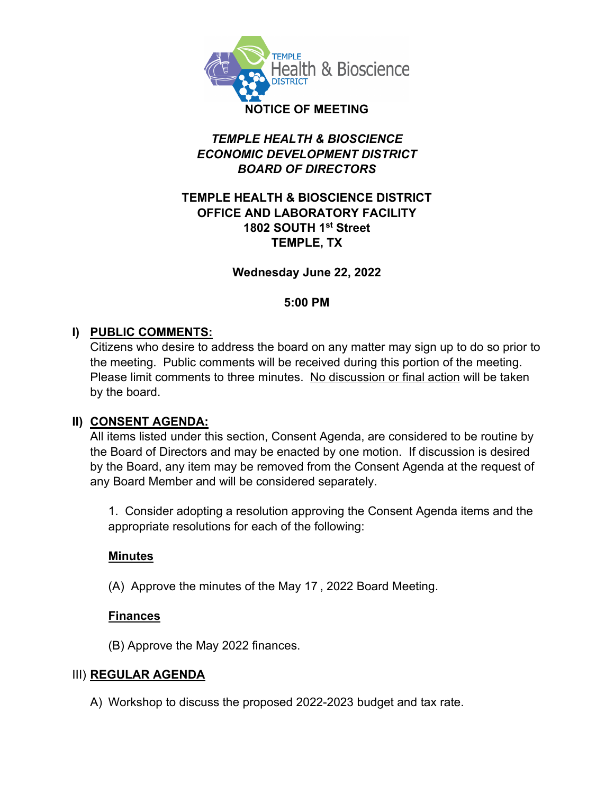

# *TEMPLE HEALTH & BIOSCIENCE ECONOMIC DEVELOPMENT DISTRICT BOARD OF DIRECTORS*

#### **TEMPLE HEALTH & BIOSCIENCE DISTRICT OFFICE AND LABORATORY FACILITY 1802 SOUTH 1st Street TEMPLE, TX**

#### **Wednesday June 22, 2022**

#### **5:00 PM**

# **I) PUBLIC COMMENTS:**

Citizens who desire to address the board on any matter may sign up to do so prior to the meeting. Public comments will be received during this portion of the meeting. Please limit comments to three minutes. No discussion or final action will be taken by the board.

# **II) CONSENT AGENDA:**

All items listed under this section, Consent Agenda, are considered to be routine by the Board of Directors and may be enacted by one motion. If discussion is desired by the Board, any item may be removed from the Consent Agenda at the request of any Board Member and will be considered separately.

1. Consider adopting a resolution approving the Consent Agenda items and the appropriate resolutions for each of the following:

# **Minutes**

(A) Approve the minutes of the May 17 , 2022 Board Meeting.

# **Finances**

(B) Approve the May 2022 finances.

# III) **REGULAR AGENDA**

A) Workshop to discuss the proposed 2022-2023 budget and tax rate.